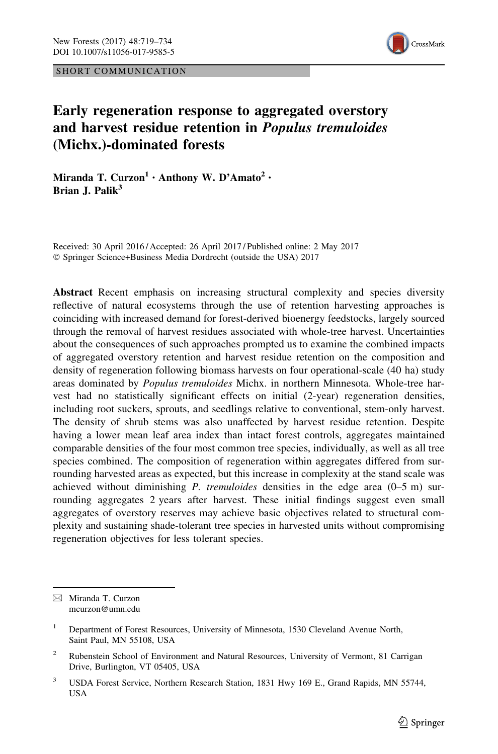SHORT COMMUNICATION



# Early regeneration response to aggregated overstory and harvest residue retention in Populus tremuloides (Michx.)-dominated forests

Miranda T. Curzon<sup>1</sup> · Anthony W. D'Amato<sup>2</sup> · Brian J. Palik $<sup>3</sup>$ </sup>

Received: 30 April 2016 / Accepted: 26 April 2017 / Published online: 2 May 2017 - Springer Science+Business Media Dordrecht (outside the USA) 2017

Abstract Recent emphasis on increasing structural complexity and species diversity reflective of natural ecosystems through the use of retention harvesting approaches is coinciding with increased demand for forest-derived bioenergy feedstocks, largely sourced through the removal of harvest residues associated with whole-tree harvest. Uncertainties about the consequences of such approaches prompted us to examine the combined impacts of aggregated overstory retention and harvest residue retention on the composition and density of regeneration following biomass harvests on four operational-scale (40 ha) study areas dominated by *Populus tremuloides* Michx. in northern Minnesota. Whole-tree harvest had no statistically significant effects on initial (2-year) regeneration densities, including root suckers, sprouts, and seedlings relative to conventional, stem-only harvest. The density of shrub stems was also unaffected by harvest residue retention. Despite having a lower mean leaf area index than intact forest controls, aggregates maintained comparable densities of the four most common tree species, individually, as well as all tree species combined. The composition of regeneration within aggregates differed from surrounding harvested areas as expected, but this increase in complexity at the stand scale was achieved without diminishing  $P$ . tremuloides densities in the edge area  $(0-5 \text{ m})$  surrounding aggregates 2 years after harvest. These initial findings suggest even small aggregates of overstory reserves may achieve basic objectives related to structural complexity and sustaining shade-tolerant tree species in harvested units without compromising regeneration objectives for less tolerant species.

 $\boxtimes$  Miranda T. Curzon mcurzon@umn.edu

<sup>&</sup>lt;sup>1</sup> Department of Forest Resources, University of Minnesota, 1530 Cleveland Avenue North, Saint Paul, MN 55108, USA

<sup>&</sup>lt;sup>2</sup> Rubenstein School of Environment and Natural Resources, University of Vermont, 81 Carrigan Drive, Burlington, VT 05405, USA

<sup>&</sup>lt;sup>3</sup> USDA Forest Service, Northern Research Station, 1831 Hwy 169 E., Grand Rapids, MN 55744, USA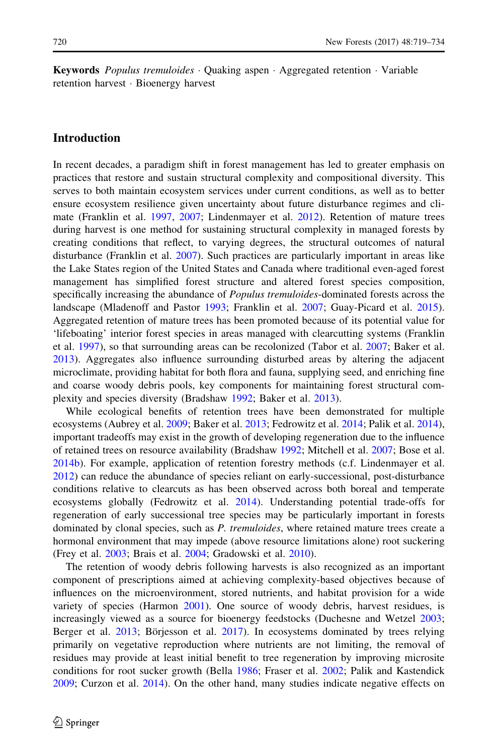Keywords *Populus tremuloides* · Quaking aspen · Aggregated retention · Variable retention harvest - Bioenergy harvest

### Introduction

In recent decades, a paradigm shift in forest management has led to greater emphasis on practices that restore and sustain structural complexity and compositional diversity. This serves to both maintain ecosystem services under current conditions, as well as to better ensure ecosystem resilience given uncertainty about future disturbance regimes and climate (Franklin et al. [1997,](#page-13-0) [2007](#page-13-0); Lindenmayer et al. [2012\)](#page-14-0). Retention of mature trees during harvest is one method for sustaining structural complexity in managed forests by creating conditions that reflect, to varying degrees, the structural outcomes of natural disturbance (Franklin et al. [2007](#page-13-0)). Such practices are particularly important in areas like the Lake States region of the United States and Canada where traditional even-aged forest management has simplified forest structure and altered forest species composition, specifically increasing the abundance of *Populus tremuloides*-dominated forests across the landscape (Mladenoff and Pastor [1993;](#page-14-0) Franklin et al. [2007](#page-13-0); Guay-Picard et al. [2015](#page-13-0)). Aggregated retention of mature trees has been promoted because of its potential value for 'lifeboating' interior forest species in areas managed with clearcutting systems (Franklin et al. [1997\)](#page-13-0), so that surrounding areas can be recolonized (Tabor et al. [2007](#page-15-0); Baker et al. [2013\)](#page-12-0). Aggregates also influence surrounding disturbed areas by altering the adjacent microclimate, providing habitat for both flora and fauna, supplying seed, and enriching fine and coarse woody debris pools, key components for maintaining forest structural complexity and species diversity (Bradshaw [1992](#page-13-0); Baker et al. [2013](#page-12-0)).

While ecological benefits of retention trees have been demonstrated for multiple ecosystems (Aubrey et al. [2009;](#page-12-0) Baker et al. [2013](#page-12-0); Fedrowitz et al. [2014;](#page-13-0) Palik et al. [2014](#page-14-0)), important tradeoffs may exist in the growth of developing regeneration due to the influence of retained trees on resource availability (Bradshaw [1992](#page-13-0); Mitchell et al. [2007;](#page-14-0) Bose et al. [2014b](#page-13-0)). For example, application of retention forestry methods (c.f. Lindenmayer et al. [2012\)](#page-14-0) can reduce the abundance of species reliant on early-successional, post-disturbance conditions relative to clearcuts as has been observed across both boreal and temperate ecosystems globally (Fedrowitz et al. [2014\)](#page-13-0). Understanding potential trade-offs for regeneration of early successional tree species may be particularly important in forests dominated by clonal species, such as P. tremuloides, where retained mature trees create a hormonal environment that may impede (above resource limitations alone) root suckering (Frey et al. [2003;](#page-13-0) Brais et al. [2004](#page-13-0); Gradowski et al. [2010](#page-13-0)).

The retention of woody debris following harvests is also recognized as an important component of prescriptions aimed at achieving complexity-based objectives because of influences on the microenvironment, stored nutrients, and habitat provision for a wide variety of species (Harmon [2001](#page-13-0)). One source of woody debris, harvest residues, is increasingly viewed as a source for bioenergy feedstocks (Duchesne and Wetzel [2003;](#page-13-0) Berger et al. [2013](#page-13-0); Börjesson et al. [2017\)](#page-13-0). In ecosystems dominated by trees relying primarily on vegetative reproduction where nutrients are not limiting, the removal of residues may provide at least initial benefit to tree regeneration by improving microsite conditions for root sucker growth (Bella [1986;](#page-12-0) Fraser et al. [2002](#page-13-0); Palik and Kastendick [2009;](#page-14-0) Curzon et al. [2014\)](#page-13-0). On the other hand, many studies indicate negative effects on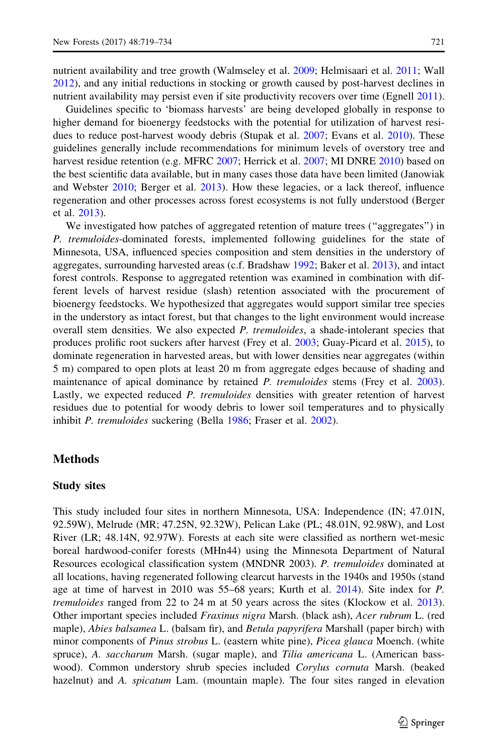nutrient availability and tree growth (Walmseley et al. [2009;](#page-15-0) Helmisaari et al. [2011;](#page-14-0) Wall [2012\)](#page-15-0), and any initial reductions in stocking or growth caused by post-harvest declines in nutrient availability may persist even if site productivity recovers over time (Egnell [2011](#page-13-0)).

Guidelines specific to 'biomass harvests' are being developed globally in response to higher demand for bioenergy feedstocks with the potential for utilization of harvest resi-dues to reduce post-harvest woody debris (Stupak et al. [2007;](#page-15-0) Evans et al. [2010](#page-13-0)). These guidelines generally include recommendations for minimum levels of overstory tree and harvest residue retention (e.g. MFRC [2007](#page-14-0); Herrick et al. [2007;](#page-14-0) MI DNRE [2010](#page-14-0)) based on the best scientific data available, but in many cases those data have been limited (Janowiak and Webster [2010](#page-14-0); Berger et al. [2013\)](#page-13-0). How these legacies, or a lack thereof, influence regeneration and other processes across forest ecosystems is not fully understood (Berger et al. [2013](#page-13-0)).

We investigated how patches of aggregated retention of mature trees ("aggregates") in P. tremuloides-dominated forests, implemented following guidelines for the state of Minnesota, USA, influenced species composition and stem densities in the understory of aggregates, surrounding harvested areas (c.f. Bradshaw [1992;](#page-13-0) Baker et al. [2013](#page-12-0)), and intact forest controls. Response to aggregated retention was examined in combination with different levels of harvest residue (slash) retention associated with the procurement of bioenergy feedstocks. We hypothesized that aggregates would support similar tree species in the understory as intact forest, but that changes to the light environment would increase overall stem densities. We also expected P. tremuloides, a shade-intolerant species that produces prolific root suckers after harvest (Frey et al. [2003](#page-13-0); Guay-Picard et al. [2015\)](#page-13-0), to dominate regeneration in harvested areas, but with lower densities near aggregates (within 5 m) compared to open plots at least 20 m from aggregate edges because of shading and maintenance of apical dominance by retained P. tremuloides stems (Frey et al. [2003](#page-13-0)). Lastly, we expected reduced P. tremuloides densities with greater retention of harvest residues due to potential for woody debris to lower soil temperatures and to physically inhibit P. tremuloides suckering (Bella [1986](#page-12-0); Fraser et al. [2002](#page-13-0)).

### **Methods**

#### Study sites

This study included four sites in northern Minnesota, USA: Independence (IN; 47.01N, 92.59W), Melrude (MR; 47.25N, 92.32W), Pelican Lake (PL; 48.01N, 92.98W), and Lost River (LR; 48.14N, 92.97W). Forests at each site were classified as northern wet-mesic boreal hardwood-conifer forests (MHn44) using the Minnesota Department of Natural Resources ecological classification system (MNDNR 2003). P. tremuloides dominated at all locations, having regenerated following clearcut harvests in the 1940s and 1950s (stand age at time of harvest in 2010 was 55–68 years; Kurth et al. [2014\)](#page-14-0). Site index for P. tremuloides ranged from 22 to 24 m at 50 years across the sites (Klockow et al. [2013](#page-14-0)). Other important species included Fraxinus nigra Marsh. (black ash), Acer rubrum L. (red maple), Abies balsamea L. (balsam fir), and Betula papyrifera Marshall (paper birch) with minor components of Pinus strobus L. (eastern white pine), Picea glauca Moench. (white spruce), A. saccharum Marsh. (sugar maple), and *Tilia americana* L. (American basswood). Common understory shrub species included *Corylus cornuta* Marsh. (beaked hazelnut) and A. *spicatum* Lam. (mountain maple). The four sites ranged in elevation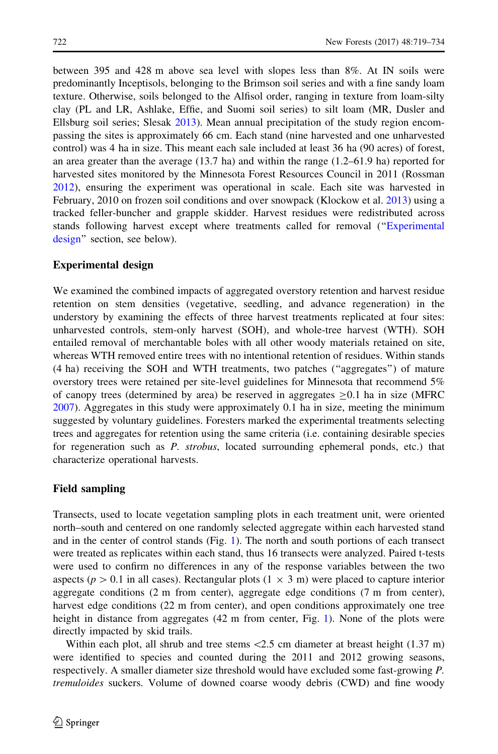between 395 and 428 m above sea level with slopes less than 8%. At IN soils were predominantly Inceptisols, belonging to the Brimson soil series and with a fine sandy loam texture. Otherwise, soils belonged to the Alfisol order, ranging in texture from loam-silty clay (PL and LR, Ashlake, Effie, and Suomi soil series) to silt loam (MR, Dusler and Ellsburg soil series; Slesak [2013](#page-14-0)). Mean annual precipitation of the study region encompassing the sites is approximately 66 cm. Each stand (nine harvested and one unharvested control) was 4 ha in size. This meant each sale included at least 36 ha (90 acres) of forest, an area greater than the average  $(13.7 \text{ ha})$  and within the range  $(1.2–61.9 \text{ ha})$  reported for harvested sites monitored by the Minnesota Forest Resources Council in 2011 (Rossman [2012\)](#page-14-0), ensuring the experiment was operational in scale. Each site was harvested in February, 2010 on frozen soil conditions and over snowpack (Klockow et al. [2013\)](#page-14-0) using a tracked feller-buncher and grapple skidder. Harvest residues were redistributed across stands following harvest except where treatments called for removal (''Experimental design" section, see below).

### Experimental design

We examined the combined impacts of aggregated overstory retention and harvest residue retention on stem densities (vegetative, seedling, and advance regeneration) in the understory by examining the effects of three harvest treatments replicated at four sites: unharvested controls, stem-only harvest (SOH), and whole-tree harvest (WTH). SOH entailed removal of merchantable boles with all other woody materials retained on site, whereas WTH removed entire trees with no intentional retention of residues. Within stands (4 ha) receiving the SOH and WTH treatments, two patches (''aggregates'') of mature overstory trees were retained per site-level guidelines for Minnesota that recommend 5% of canopy trees (determined by area) be reserved in aggregates  $\geq 0.1$  ha in size (MFRC) [2007\)](#page-14-0). Aggregates in this study were approximately 0.1 ha in size, meeting the minimum suggested by voluntary guidelines. Foresters marked the experimental treatments selecting trees and aggregates for retention using the same criteria (i.e. containing desirable species for regeneration such as P. strobus, located surrounding ephemeral ponds, etc.) that characterize operational harvests.

### Field sampling

Transects, used to locate vegetation sampling plots in each treatment unit, were oriented north–south and centered on one randomly selected aggregate within each harvested stand and in the center of control stands (Fig. [1](#page-4-0)). The north and south portions of each transect were treated as replicates within each stand, thus 16 transects were analyzed. Paired t-tests were used to confirm no differences in any of the response variables between the two aspects ( $p > 0.1$  in all cases). Rectangular plots (1  $\times$  3 m) were placed to capture interior aggregate conditions (2 m from center), aggregate edge conditions (7 m from center), harvest edge conditions (22 m from center), and open conditions approximately one tree height in distance from aggregates (42 m from center, Fig. [1](#page-4-0)). None of the plots were directly impacted by skid trails.

Within each plot, all shrub and tree stems  $\langle 2.5 \rangle$  cm diameter at breast height (1.37 m) were identified to species and counted during the 2011 and 2012 growing seasons, respectively. A smaller diameter size threshold would have excluded some fast-growing P. tremuloides suckers. Volume of downed coarse woody debris (CWD) and fine woody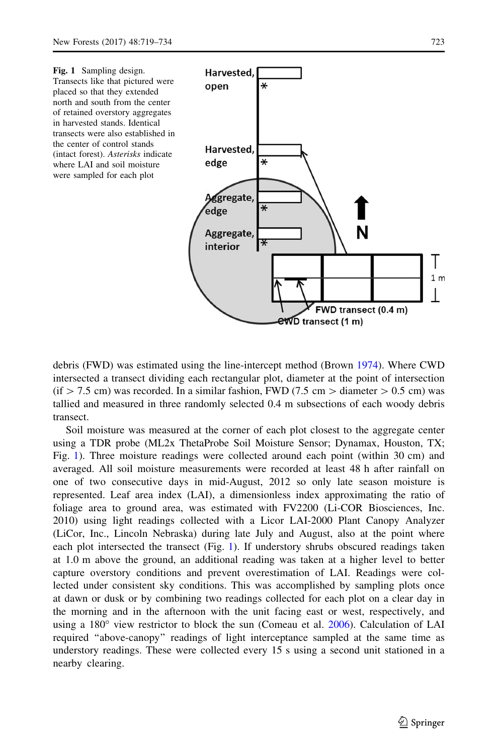<span id="page-4-0"></span>

debris (FWD) was estimated using the line-intercept method (Brown [1974\)](#page-13-0). Where CWD intersected a transect dividing each rectangular plot, diameter at the point of intersection  $(i\text{f} > 7.5 \text{ cm})$  was recorded. In a similar fashion, FWD (7.5 cm  $>$  diameter  $> 0.5 \text{ cm}$ ) was tallied and measured in three randomly selected 0.4 m subsections of each woody debris transect.

Soil moisture was measured at the corner of each plot closest to the aggregate center using a TDR probe (ML2x ThetaProbe Soil Moisture Sensor; Dynamax, Houston, TX; Fig. 1). Three moisture readings were collected around each point (within 30 cm) and averaged. All soil moisture measurements were recorded at least 48 h after rainfall on one of two consecutive days in mid-August, 2012 so only late season moisture is represented. Leaf area index (LAI), a dimensionless index approximating the ratio of foliage area to ground area, was estimated with FV2200 (Li-COR Biosciences, Inc. 2010) using light readings collected with a Licor LAI-2000 Plant Canopy Analyzer (LiCor, Inc., Lincoln Nebraska) during late July and August, also at the point where each plot intersected the transect (Fig. 1). If understory shrubs obscured readings taken at 1.0 m above the ground, an additional reading was taken at a higher level to better capture overstory conditions and prevent overestimation of LAI. Readings were collected under consistent sky conditions. This was accomplished by sampling plots once at dawn or dusk or by combining two readings collected for each plot on a clear day in the morning and in the afternoon with the unit facing east or west, respectively, and using a  $180^\circ$  view restrictor to block the sun (Comeau et al. [2006\)](#page-13-0). Calculation of LAI required ''above-canopy'' readings of light interceptance sampled at the same time as understory readings. These were collected every 15 s using a second unit stationed in a nearby clearing.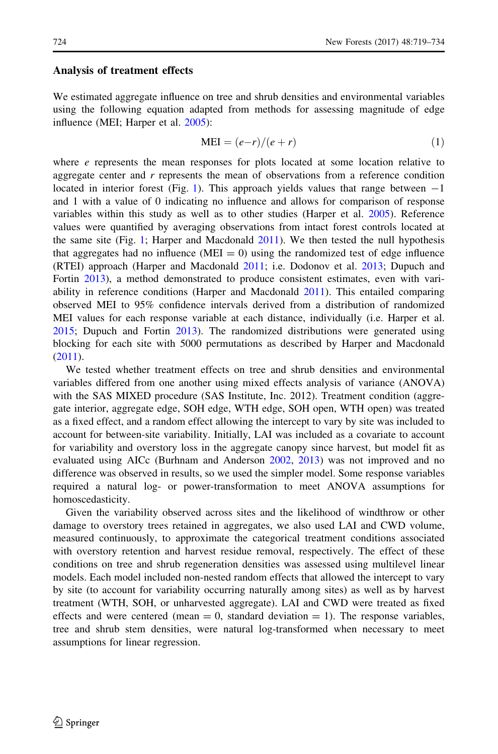#### Analysis of treatment effects

We estimated aggregate influence on tree and shrub densities and environmental variables using the following equation adapted from methods for assessing magnitude of edge influence (MEI; Harper et al. [2005\)](#page-14-0):

$$
MEI = (e-r)/(e+r)
$$
 (1)

where *e* represents the mean responses for plots located at some location relative to aggregate center and r represents the mean of observations from a reference condition located in interior forest (Fig. [1\)](#page-4-0). This approach yields values that range between  $-1$ and 1 with a value of 0 indicating no influence and allows for comparison of response variables within this study as well as to other studies (Harper et al. [2005](#page-14-0)). Reference values were quantified by averaging observations from intact forest controls located at the same site (Fig. [1;](#page-4-0) Harper and Macdonald  $2011$ ). We then tested the null hypothesis that aggregates had no influence (MEI  $= 0$ ) using the randomized test of edge influence (RTEI) approach (Harper and Macdonald [2011;](#page-14-0) i.e. Dodonov et al. [2013](#page-13-0); Dupuch and Fortin [2013](#page-13-0)), a method demonstrated to produce consistent estimates, even with variability in reference conditions (Harper and Macdonald [2011](#page-14-0)). This entailed comparing observed MEI to 95% confidence intervals derived from a distribution of randomized MEI values for each response variable at each distance, individually (i.e. Harper et al. [2015;](#page-14-0) Dupuch and Fortin [2013](#page-13-0)). The randomized distributions were generated using blocking for each site with 5000 permutations as described by Harper and Macdonald ([2011\)](#page-14-0).

We tested whether treatment effects on tree and shrub densities and environmental variables differed from one another using mixed effects analysis of variance (ANOVA) with the SAS MIXED procedure (SAS Institute, Inc. 2012). Treatment condition (aggregate interior, aggregate edge, SOH edge, WTH edge, SOH open, WTH open) was treated as a fixed effect, and a random effect allowing the intercept to vary by site was included to account for between-site variability. Initially, LAI was included as a covariate to account for variability and overstory loss in the aggregate canopy since harvest, but model fit as evaluated using AICc (Burhnam and Anderson [2002,](#page-13-0) [2013](#page-13-0)) was not improved and no difference was observed in results, so we used the simpler model. Some response variables required a natural log- or power-transformation to meet ANOVA assumptions for homoscedasticity.

Given the variability observed across sites and the likelihood of windthrow or other damage to overstory trees retained in aggregates, we also used LAI and CWD volume, measured continuously, to approximate the categorical treatment conditions associated with overstory retention and harvest residue removal, respectively. The effect of these conditions on tree and shrub regeneration densities was assessed using multilevel linear models. Each model included non-nested random effects that allowed the intercept to vary by site (to account for variability occurring naturally among sites) as well as by harvest treatment (WTH, SOH, or unharvested aggregate). LAI and CWD were treated as fixed effects and were centered (mean  $= 0$ , standard deviation  $= 1$ ). The response variables, tree and shrub stem densities, were natural log-transformed when necessary to meet assumptions for linear regression.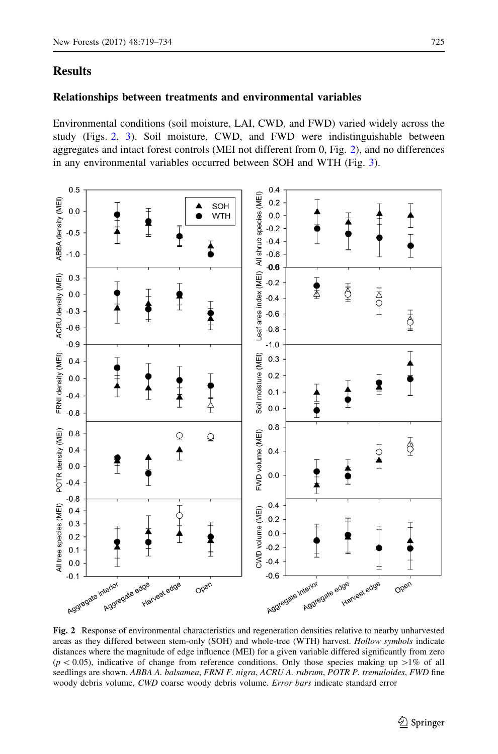# <span id="page-6-0"></span>Results

#### Relationships between treatments and environmental variables

Environmental conditions (soil moisture, LAI, CWD, and FWD) varied widely across the study (Figs. 2, [3\)](#page-7-0). Soil moisture, CWD, and FWD were indistinguishable between aggregates and intact forest controls (MEI not different from 0, Fig. 2), and no differences in any environmental variables occurred between SOH and WTH (Fig. [3](#page-7-0)).



Fig. 2 Response of environmental characteristics and regeneration densities relative to nearby unharvested areas as they differed between stem-only (SOH) and whole-tree (WTH) harvest. Hollow symbols indicate distances where the magnitude of edge influence (MEI) for a given variable differed significantly from zero  $(p<0.05)$ , indicative of change from reference conditions. Only those species making up  $>1\%$  of all seedlings are shown. ABBA A. balsamea, FRNI F. nigra, ACRU A. rubrum, POTR P. tremuloides, FWD fine woody debris volume, CWD coarse woody debris volume. Error bars indicate standard error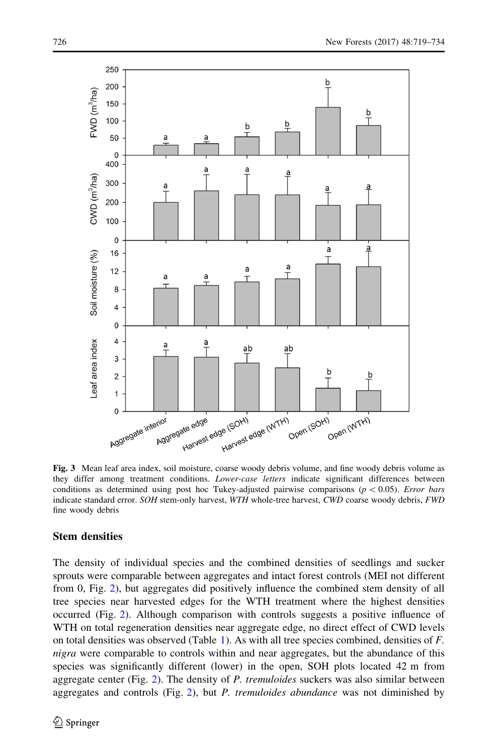<span id="page-7-0"></span>

Fig. 3 Mean leaf area index, soil moisture, coarse woody debris volume, and fine woody debris volume as they differ among treatment conditions. Lower-case letters indicate significant differences between conditions as determined using post hoc Tukey-adjusted pairwise comparisons  $(p<0.05)$ . Error bars indicate standard error. SOH stem-only harvest, WTH whole-tree harvest, CWD coarse woody debris, FWD fine woody debris

#### Stem densities

The density of individual species and the combined densities of seedlings and sucker sprouts were comparable between aggregates and intact forest controls (MEI not different from 0, Fig. [2\)](#page-6-0), but aggregates did positively influence the combined stem density of all tree species near harvested edges for the WTH treatment where the highest densities occurred (Fig. [2](#page-6-0)). Although comparison with controls suggests a positive influence of WTH on total regeneration densities near aggregate edge, no direct effect of CWD levels on total densities was observed (Table [1](#page-8-0)). As with all tree species combined, densities of  $F$ . nigra were comparable to controls within and near aggregates, but the abundance of this species was significantly different (lower) in the open, SOH plots located 42 m from aggregate center (Fig. [2\)](#page-6-0). The density of  $P$ . *tremuloides* suckers was also similar between aggregates and controls (Fig. [2\)](#page-6-0), but P. tremuloides abundance was not diminished by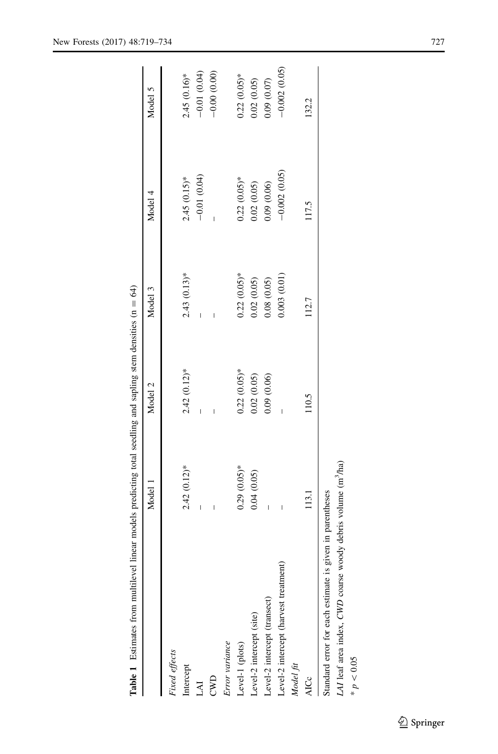| <b>Table 1</b> Estimates from multilevel linear models predicting total seedling and sapling stem densities $(n = 64)$ |                                          |                |                |                |                  |
|------------------------------------------------------------------------------------------------------------------------|------------------------------------------|----------------|----------------|----------------|------------------|
|                                                                                                                        | Model 1                                  | Model 2        | Model 3        | Model 4        | Model 5          |
| Fixed effects                                                                                                          |                                          |                |                |                |                  |
| Intercept                                                                                                              | $2.42(0.12)*$                            | $2.42(0.12)*$  | $2.43(0.13)*$  | $2.45(0.15)*$  | 2.45 (0.16)*     |
| <b>IAL</b>                                                                                                             |                                          |                |                | $-0.01(0.04)$  | $-0.01$ $(0.04)$ |
| CWD                                                                                                                    |                                          |                |                |                | $-0.00(0.00)$    |
| Error variance                                                                                                         |                                          |                |                |                |                  |
| Level-1 (plots)                                                                                                        | $0.29(0.05)*$                            | $0.22(0.05)$ * | $0.22(0.05)$ * | $0.22(0.05)*$  | $0.22(0.05)$ *   |
| Level-2 intercept (site)                                                                                               | 0.04(0.05)                               | 0.02(0.05)     | 0.02(0.05)     | 0.02(0.05)     | 0.02(0.05)       |
| Level-2 intercept (transect)                                                                                           |                                          | 0.09(0.06)     | 0.08(0.05)     | 0.09(0.06)     | 0.09(0.07)       |
| Level-2 intercept (harvest treatment)                                                                                  |                                          |                | 0.003(0.01)    | $-0.002(0.05)$ | $-0.002(0.05)$   |
| Model fit                                                                                                              |                                          |                |                |                |                  |
| AICc                                                                                                                   | 113.1                                    | 110.5          | 112.7          | 117.5          | 132.2            |
| Standard error for each estimate is given in parentheses                                                               |                                          |                |                |                |                  |
| LAI leaf area index, CWD coarse                                                                                        | woody debris volume (m <sup>3</sup> /ha) |                |                |                |                  |

<span id="page-8-0"></span>New Forests (2017) 48:719–734 727

 $\mathcal{L}^*$  $\rm 0.05$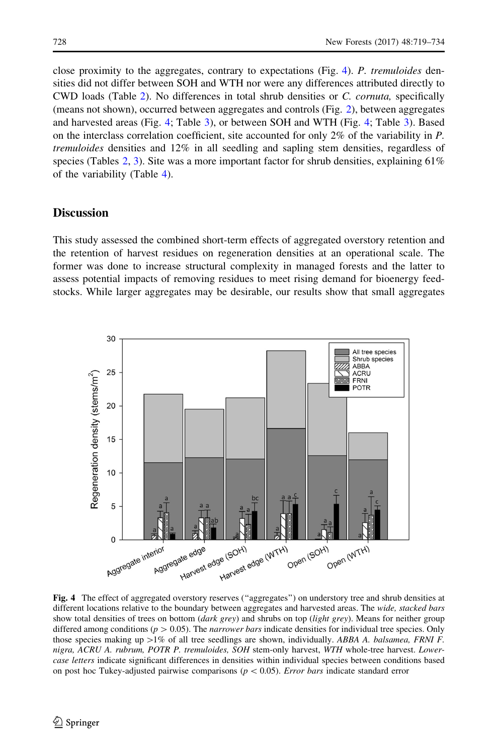<span id="page-9-0"></span>close proximity to the aggregates, contrary to expectations (Fig. 4). P. tremuloides densities did not differ between SOH and WTH nor were any differences attributed directly to CWD loads (Table [2](#page-10-0)). No differences in total shrub densities or C. cornuta, specifically (means not shown), occurred between aggregates and controls (Fig. [2](#page-6-0)), between aggregates and harvested areas (Fig. 4; Table [3](#page-10-0)), or between SOH and WTH (Fig. 4; Table [3](#page-10-0)). Based on the interclass correlation coefficient, site accounted for only  $2\%$  of the variability in P. tremuloides densities and 12% in all seedling and sapling stem densities, regardless of species (Tables [2,](#page-10-0) [3\)](#page-10-0). Site was a more important factor for shrub densities, explaining  $61\%$ of the variability (Table [4\)](#page-10-0).

# **Discussion**

This study assessed the combined short-term effects of aggregated overstory retention and the retention of harvest residues on regeneration densities at an operational scale. The former was done to increase structural complexity in managed forests and the latter to assess potential impacts of removing residues to meet rising demand for bioenergy feedstocks. While larger aggregates may be desirable, our results show that small aggregates



Fig. 4 The effect of aggregated overstory reserves ("aggregates") on understory tree and shrub densities at different locations relative to the boundary between aggregates and harvested areas. The wide, stacked bars show total densities of trees on bottom (dark grey) and shrubs on top (light grey). Means for neither group differed among conditions ( $p > 0.05$ ). The *narrower bars* indicate densities for individual tree species. Only those species making up  $>1\%$  of all tree seedlings are shown, individually. ABBA A. balsamea, FRNI F. nigra, ACRU A. rubrum, POTR P. tremuloides, SOH stem-only harvest, WTH whole-tree harvest. Lowercase letters indicate significant differences in densities within individual species between conditions based on post hoc Tukey-adjusted pairwise comparisons ( $p\lt 0.05$ ). *Error bars* indicate standard error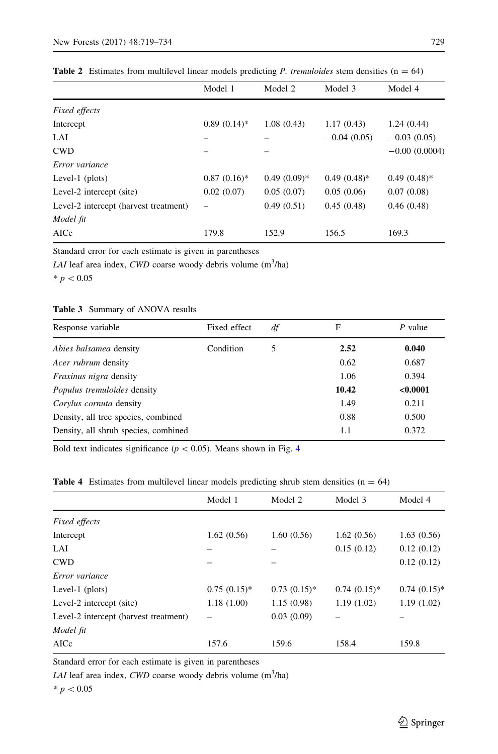|                                       | Model 1        | Model 2       | Model 3        | Model 4         |
|---------------------------------------|----------------|---------------|----------------|-----------------|
|                                       |                |               |                |                 |
| Fixed effects                         |                |               |                |                 |
| Intercept                             | $0.89(0.14)$ * | 1.08(0.43)    | 1.17(0.43)     | 1.24(0.44)      |
| LAI                                   |                |               | $-0.04(0.05)$  | $-0.03(0.05)$   |
| CWD                                   |                |               |                | $-0.00(0.0004)$ |
| Error variance                        |                |               |                |                 |
| Level-1 (plots)                       | $0.87(0.16)*$  | $0.49(0.09)*$ | $0.49(0.48)$ * | $0.49(0.48)$ *  |
| Level-2 intercept (site)              | 0.02(0.07)     | 0.05(0.07)    | 0.05(0.06)     | 0.07(0.08)      |
| Level-2 intercept (harvest treatment) |                | 0.49(0.51)    | 0.45(0.48)     | 0.46(0.48)      |
| Model fit                             |                |               |                |                 |

AICc 179.8 152.9 156.5 169.3

<span id="page-10-0"></span>

| <b>Table 2</b> Estimates from multilevel linear models predicting P. tremuloides stem densities $(n = 64)$ |  |
|------------------------------------------------------------------------------------------------------------|--|
|------------------------------------------------------------------------------------------------------------|--|

Standard error for each estimate is given in parentheses

LAI leaf area index, CWD coarse woody debris volume  $(m^3/ha)$ 

 $* p < 0.05$ 

Table 3 Summary of ANOVA results

| Response variable                    | Fixed effect | df | F     | P value  |
|--------------------------------------|--------------|----|-------|----------|
| <i>Abies balsamea</i> density        | Condition    | 5  | 2.52  | 0.040    |
| Acer rubrum density                  |              |    | 0.62  | 0.687    |
| <i>Fraxinus nigra</i> density        |              |    | 1.06  | 0.394    |
| <i>Populus tremuloides</i> density   |              |    | 10.42 | < 0.0001 |
| Corylus cornuta density              |              |    | 1.49  | 0.211    |
| Density, all tree species, combined  |              |    | 0.88  | 0.500    |
| Density, all shrub species, combined |              |    | 1.1   | 0.372    |

Bold text indicates significance ( $p \lt 0.05$ ). Means shown in Fig. [4](#page-9-0)

Table 4 Estimates from multilevel linear models predicting shrub stem densities  $(n = 64)$ 

|                                       | Model 1        | Model 2        | Model 3       | Model 4       |
|---------------------------------------|----------------|----------------|---------------|---------------|
| Fixed effects                         |                |                |               |               |
| Intercept                             | 1.62(0.56)     | 1.60(0.56)     | 1.62(0.56)    | 1.63(0.56)    |
| LAI                                   |                |                | 0.15(0.12)    | 0.12(0.12)    |
| <b>CWD</b>                            |                |                |               | 0.12(0.12)    |
| Error variance                        |                |                |               |               |
| Level-1 $(plots)$                     | $0.75(0.15)^*$ | $0.73(0.15)$ * | $0.74(0.15)*$ | $0.74(0.15)*$ |
| Level-2 intercept (site)              | 1.18(1.00)     | 1.15(0.98)     | 1.19(1.02)    | 1.19(1.02)    |
| Level-2 intercept (harvest treatment) |                | 0.03(0.09)     |               |               |
| Model fit                             |                |                |               |               |
| AICc                                  | 157.6          | 159.6          | 158.4         | 159.8         |

Standard error for each estimate is given in parentheses

LAI leaf area index, CWD coarse woody debris volume  $(m^3/ha)$ 

 $* p < 0.05$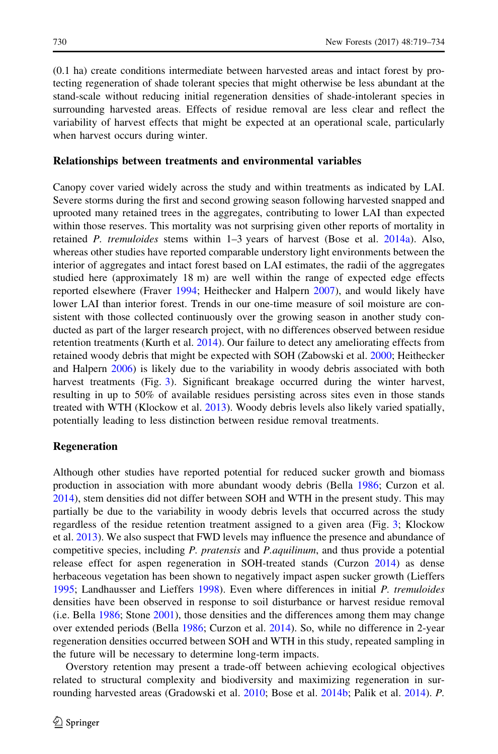(0.1 ha) create conditions intermediate between harvested areas and intact forest by protecting regeneration of shade tolerant species that might otherwise be less abundant at the stand-scale without reducing initial regeneration densities of shade-intolerant species in surrounding harvested areas. Effects of residue removal are less clear and reflect the variability of harvest effects that might be expected at an operational scale, particularly when harvest occurs during winter.

#### Relationships between treatments and environmental variables

Canopy cover varied widely across the study and within treatments as indicated by LAI. Severe storms during the first and second growing season following harvested snapped and uprooted many retained trees in the aggregates, contributing to lower LAI than expected within those reserves. This mortality was not surprising given other reports of mortality in retained P. tremuloides stems within 1–3 years of harvest (Bose et al. [2014a](#page-13-0)). Also, whereas other studies have reported comparable understory light environments between the interior of aggregates and intact forest based on LAI estimates, the radii of the aggregates studied here (approximately 18 m) are well within the range of expected edge effects reported elsewhere (Fraver [1994;](#page-13-0) Heithecker and Halpern [2007\)](#page-14-0), and would likely have lower LAI than interior forest. Trends in our one-time measure of soil moisture are consistent with those collected continuously over the growing season in another study conducted as part of the larger research project, with no differences observed between residue retention treatments (Kurth et al. [2014\)](#page-14-0). Our failure to detect any ameliorating effects from retained woody debris that might be expected with SOH (Zabowski et al. [2000;](#page-15-0) Heithecker and Halpern [2006](#page-14-0)) is likely due to the variability in woody debris associated with both harvest treatments (Fig. [3\)](#page-7-0). Significant breakage occurred during the winter harvest, resulting in up to 50% of available residues persisting across sites even in those stands treated with WTH (Klockow et al. [2013\)](#page-14-0). Woody debris levels also likely varied spatially, potentially leading to less distinction between residue removal treatments.

#### Regeneration

Although other studies have reported potential for reduced sucker growth and biomass production in association with more abundant woody debris (Bella [1986](#page-12-0); Curzon et al. [2014\)](#page-13-0), stem densities did not differ between SOH and WTH in the present study. This may partially be due to the variability in woody debris levels that occurred across the study regardless of the residue retention treatment assigned to a given area (Fig. [3](#page-7-0); Klockow et al. [2013](#page-14-0)). We also suspect that FWD levels may influence the presence and abundance of competitive species, including P. pratensis and P.aquilinum, and thus provide a potential release effect for aspen regeneration in SOH-treated stands (Curzon [2014\)](#page-13-0) as dense herbaceous vegetation has been shown to negatively impact aspen sucker growth (Lieffers [1995;](#page-14-0) Landhausser and Lieffers [1998\)](#page-14-0). Even where differences in initial P. tremuloides densities have been observed in response to soil disturbance or harvest residue removal (i.e. Bella [1986;](#page-12-0) Stone [2001](#page-15-0)), those densities and the differences among them may change over extended periods (Bella [1986;](#page-12-0) Curzon et al. [2014\)](#page-13-0). So, while no difference in 2-year regeneration densities occurred between SOH and WTH in this study, repeated sampling in the future will be necessary to determine long-term impacts.

Overstory retention may present a trade-off between achieving ecological objectives related to structural complexity and biodiversity and maximizing regeneration in surrounding harvested areas (Gradowski et al. [2010](#page-13-0); Bose et al. [2014b](#page-13-0); Palik et al. [2014\)](#page-14-0). P.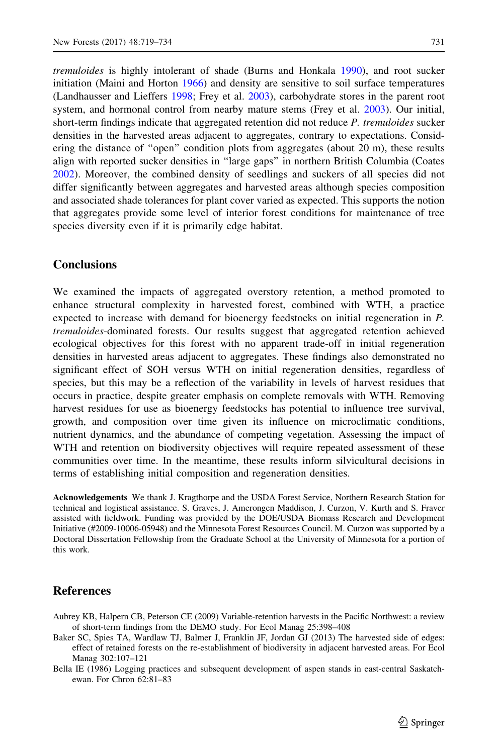<span id="page-12-0"></span>tremuloides is highly intolerant of shade (Burns and Honkala [1990\)](#page-13-0), and root sucker initiation (Maini and Horton [1966\)](#page-14-0) and density are sensitive to soil surface temperatures (Landhausser and Lieffers [1998](#page-14-0); Frey et al. [2003](#page-13-0)), carbohydrate stores in the parent root system, and hormonal control from nearby mature stems (Frey et al. [2003](#page-13-0)). Our initial, short-term findings indicate that aggregated retention did not reduce P. tremuloides sucker densities in the harvested areas adjacent to aggregates, contrary to expectations. Considering the distance of ''open'' condition plots from aggregates (about 20 m), these results align with reported sucker densities in ''large gaps'' in northern British Columbia (Coates [2002\)](#page-13-0). Moreover, the combined density of seedlings and suckers of all species did not differ significantly between aggregates and harvested areas although species composition and associated shade tolerances for plant cover varied as expected. This supports the notion that aggregates provide some level of interior forest conditions for maintenance of tree species diversity even if it is primarily edge habitat.

# **Conclusions**

We examined the impacts of aggregated overstory retention, a method promoted to enhance structural complexity in harvested forest, combined with WTH, a practice expected to increase with demand for bioenergy feedstocks on initial regeneration in P. tremuloides-dominated forests. Our results suggest that aggregated retention achieved ecological objectives for this forest with no apparent trade-off in initial regeneration densities in harvested areas adjacent to aggregates. These findings also demonstrated no significant effect of SOH versus WTH on initial regeneration densities, regardless of species, but this may be a reflection of the variability in levels of harvest residues that occurs in practice, despite greater emphasis on complete removals with WTH. Removing harvest residues for use as bioenergy feedstocks has potential to influence tree survival, growth, and composition over time given its influence on microclimatic conditions, nutrient dynamics, and the abundance of competing vegetation. Assessing the impact of WTH and retention on biodiversity objectives will require repeated assessment of these communities over time. In the meantime, these results inform silvicultural decisions in terms of establishing initial composition and regeneration densities.

Acknowledgements We thank J. Kragthorpe and the USDA Forest Service, Northern Research Station for technical and logistical assistance. S. Graves, J. Amerongen Maddison, J. Curzon, V. Kurth and S. Fraver assisted with fieldwork. Funding was provided by the DOE/USDA Biomass Research and Development Initiative (#2009-10006-05948) and the Minnesota Forest Resources Council. M. Curzon was supported by a Doctoral Dissertation Fellowship from the Graduate School at the University of Minnesota for a portion of this work.

## References

- Aubrey KB, Halpern CB, Peterson CE (2009) Variable-retention harvests in the Pacific Northwest: a review of short-term findings from the DEMO study. For Ecol Manag 25:398–408
- Baker SC, Spies TA, Wardlaw TJ, Balmer J, Franklin JF, Jordan GJ (2013) The harvested side of edges: effect of retained forests on the re-establishment of biodiversity in adjacent harvested areas. For Ecol Manag 302:107–121

Bella IE (1986) Logging practices and subsequent development of aspen stands in east-central Saskatchewan. For Chron 62:81–83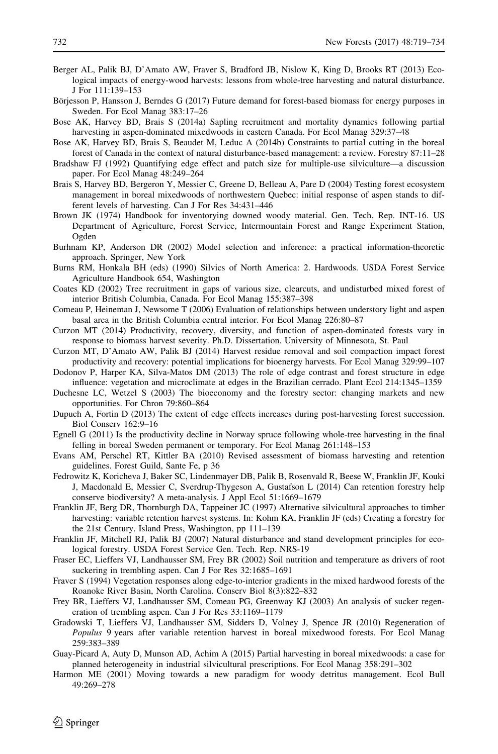- <span id="page-13-0"></span>Berger AL, Palik BJ, D'Amato AW, Fraver S, Bradford JB, Nislow K, King D, Brooks RT (2013) Ecological impacts of energy-wood harvests: lessons from whole-tree harvesting and natural disturbance. J For 111:139–153
- Börjesson P, Hansson J, Berndes G (2017) Future demand for forest-based biomass for energy purposes in Sweden. For Ecol Manag 383:17–26
- Bose AK, Harvey BD, Brais S (2014a) Sapling recruitment and mortality dynamics following partial harvesting in aspen-dominated mixedwoods in eastern Canada. For Ecol Manag 329:37–48
- Bose AK, Harvey BD, Brais S, Beaudet M, Leduc A (2014b) Constraints to partial cutting in the boreal forest of Canada in the context of natural disturbance-based management: a review. Forestry 87:11–28
- Bradshaw FJ (1992) Quantifying edge effect and patch size for multiple-use silviculture—a discussion paper. For Ecol Manag 48:249–264
- Brais S, Harvey BD, Bergeron Y, Messier C, Greene D, Belleau A, Pare D (2004) Testing forest ecosystem management in boreal mixedwoods of northwestern Quebec: initial response of aspen stands to different levels of harvesting. Can J For Res 34:431–446
- Brown JK (1974) Handbook for inventorying downed woody material. Gen. Tech. Rep. INT-16. US Department of Agriculture, Forest Service, Intermountain Forest and Range Experiment Station, Ogden
- Burhnam KP, Anderson DR (2002) Model selection and inference: a practical information-theoretic approach. Springer, New York
- Burns RM, Honkala BH (eds) (1990) Silvics of North America: 2. Hardwoods. USDA Forest Service Agriculture Handbook 654, Washington
- Coates KD (2002) Tree recruitment in gaps of various size, clearcuts, and undisturbed mixed forest of interior British Columbia, Canada. For Ecol Manag 155:387–398
- Comeau P, Heineman J, Newsome T (2006) Evaluation of relationships between understory light and aspen basal area in the British Columbia central interior. For Ecol Manag 226:80–87
- Curzon MT (2014) Productivity, recovery, diversity, and function of aspen-dominated forests vary in response to biomass harvest severity. Ph.D. Dissertation. University of Minnesota, St. Paul
- Curzon MT, D'Amato AW, Palik BJ (2014) Harvest residue removal and soil compaction impact forest productivity and recovery: potential implications for bioenergy harvests. For Ecol Manag 329:99–107
- Dodonov P, Harper KA, Silva-Matos DM (2013) The role of edge contrast and forest structure in edge influence: vegetation and microclimate at edges in the Brazilian cerrado. Plant Ecol 214:1345–1359
- Duchesne LC, Wetzel S (2003) The bioeconomy and the forestry sector: changing markets and new opportunities. For Chron 79:860–864
- Dupuch A, Fortin D (2013) The extent of edge effects increases during post-harvesting forest succession. Biol Conserv 162:9–16
- Egnell G (2011) Is the productivity decline in Norway spruce following whole-tree harvesting in the final felling in boreal Sweden permanent or temporary. For Ecol Manag 261:148–153
- Evans AM, Perschel RT, Kittler BA (2010) Revised assessment of biomass harvesting and retention guidelines. Forest Guild, Sante Fe, p 36
- Fedrowitz K, Koricheva J, Baker SC, Lindenmayer DB, Palik B, Rosenvald R, Beese W, Franklin JF, Kouki J, Macdonald E, Messier C, Sverdrup-Thygeson A, Gustafson L (2014) Can retention forestry help conserve biodiversity? A meta-analysis. J Appl Ecol 51:1669–1679
- Franklin JF, Berg DR, Thornburgh DA, Tappeiner JC (1997) Alternative silvicultural approaches to timber harvesting: variable retention harvest systems. In: Kohm KA, Franklin JF (eds) Creating a forestry for the 21st Century. Island Press, Washington, pp 111–139
- Franklin JF, Mitchell RJ, Palik BJ (2007) Natural disturbance and stand development principles for ecological forestry. USDA Forest Service Gen. Tech. Rep. NRS-19
- Fraser EC, Lieffers VJ, Landhausser SM, Frey BR (2002) Soil nutrition and temperature as drivers of root suckering in trembling aspen. Can J For Res 32:1685–1691
- Fraver S (1994) Vegetation responses along edge-to-interior gradients in the mixed hardwood forests of the Roanoke River Basin, North Carolina. Conserv Biol 8(3):822–832
- Frey BR, Lieffers VJ, Landhausser SM, Comeau PG, Greenway KJ (2003) An analysis of sucker regeneration of trembling aspen. Can J For Res 33:1169–1179
- Gradowski T, Lieffers VJ, Landhausser SM, Sidders D, Volney J, Spence JR (2010) Regeneration of Populus 9 years after variable retention harvest in boreal mixedwood forests. For Ecol Manag 259:383–389
- Guay-Picard A, Auty D, Munson AD, Achim A (2015) Partial harvesting in boreal mixedwoods: a case for planned heterogeneity in industrial silvicultural prescriptions. For Ecol Manag 358:291–302
- Harmon ME (2001) Moving towards a new paradigm for woody detritus management. Ecol Bull 49:269–278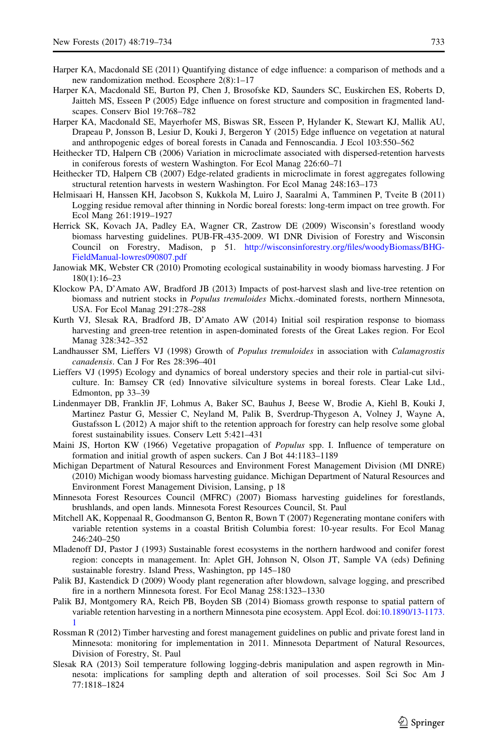- <span id="page-14-0"></span>Harper KA, Macdonald SE (2011) Quantifying distance of edge influence: a comparison of methods and a new randomization method. Ecosphere 2(8):1–17
- Harper KA, Macdonald SE, Burton PJ, Chen J, Brosofske KD, Saunders SC, Euskirchen ES, Roberts D, Jaitteh MS, Esseen P (2005) Edge influence on forest structure and composition in fragmented landscapes. Conserv Biol 19:768–782
- Harper KA, Macdonald SE, Mayerhofer MS, Biswas SR, Esseen P, Hylander K, Stewart KJ, Mallik AU, Drapeau P, Jonsson B, Lesiur D, Kouki J, Bergeron Y (2015) Edge influence on vegetation at natural and anthropogenic edges of boreal forests in Canada and Fennoscandia. J Ecol 103:550–562
- Heithecker TD, Halpern CB (2006) Variation in microclimate associated with dispersed-retention harvests in coniferous forests of western Washington. For Ecol Manag 226:60–71
- Heithecker TD, Halpern CB (2007) Edge-related gradients in microclimate in forest aggregates following structural retention harvests in western Washington. For Ecol Manag 248:163–173
- Helmisaari H, Hanssen KH, Jacobson S, Kukkola M, Luiro J, Saaralmi A, Tamminen P, Tveite B (2011) Logging residue removal after thinning in Nordic boreal forests: long-term impact on tree growth. For Ecol Mang 261:1919–1927
- Herrick SK, Kovach JA, Padley EA, Wagner CR, Zastrow DE (2009) Wisconsin's forestland woody biomass harvesting guidelines. PUB-FR-435-2009. WI DNR Division of Forestry and Wisconsin Council on Forestry, Madison, p 51. [http://wisconsinforestry.org/files/woodyBiomass/BHG-](http://wisconsinforestry.org/files/woodyBiomass/BHG-FieldManual-lowres090807.pdf)[FieldManual-lowres090807.pdf](http://wisconsinforestry.org/files/woodyBiomass/BHG-FieldManual-lowres090807.pdf)
- Janowiak MK, Webster CR (2010) Promoting ecological sustainability in woody biomass harvesting. J For 180(1):16–23
- Klockow PA, D'Amato AW, Bradford JB (2013) Impacts of post-harvest slash and live-tree retention on biomass and nutrient stocks in *Populus tremuloides* Michx.-dominated forests, northern Minnesota, USA. For Ecol Manag 291:278–288
- Kurth VJ, Slesak RA, Bradford JB, D'Amato AW (2014) Initial soil respiration response to biomass harvesting and green-tree retention in aspen-dominated forests of the Great Lakes region. For Ecol Manag 328:342–352
- Landhausser SM, Lieffers VJ (1998) Growth of Populus tremuloides in association with Calamagrostis canadensis. Can J For Res 28:396–401
- Lieffers VJ (1995) Ecology and dynamics of boreal understory species and their role in partial-cut silviculture. In: Bamsey CR (ed) Innovative silviculture systems in boreal forests. Clear Lake Ltd., Edmonton, pp 33–39
- Lindenmayer DB, Franklin JF, Lohmus A, Baker SC, Bauhus J, Beese W, Brodie A, Kiehl B, Kouki J, Martinez Pastur G, Messier C, Neyland M, Palik B, Sverdrup-Thygeson A, Volney J, Wayne A, Gustafsson L (2012) A major shift to the retention approach for forestry can help resolve some global forest sustainability issues. Conserv Lett 5:421–431
- Maini JS, Horton KW (1966) Vegetative propagation of *Populus* spp. I. Influence of temperature on formation and initial growth of aspen suckers. Can J Bot 44:1183–1189
- Michigan Department of Natural Resources and Environment Forest Management Division (MI DNRE) (2010) Michigan woody biomass harvesting guidance. Michigan Department of Natural Resources and Environment Forest Management Division, Lansing, p 18
- Minnesota Forest Resources Council (MFRC) (2007) Biomass harvesting guidelines for forestlands, brushlands, and open lands. Minnesota Forest Resources Council, St. Paul
- Mitchell AK, Koppenaal R, Goodmanson G, Benton R, Bown T (2007) Regenerating montane conifers with variable retention systems in a coastal British Columbia forest: 10-year results. For Ecol Manag 246:240–250
- Mladenoff DJ, Pastor J (1993) Sustainable forest ecosystems in the northern hardwood and conifer forest region: concepts in management. In: Aplet GH, Johnson N, Olson JT, Sample VA (eds) Defining sustainable forestry. Island Press, Washington, pp 145–180
- Palik BJ, Kastendick D (2009) Woody plant regeneration after blowdown, salvage logging, and prescribed fire in a northern Minnesota forest. For Ecol Manag 258:1323–1330
- Palik BJ, Montgomery RA, Reich PB, Boyden SB (2014) Biomass growth response to spatial pattern of variable retention harvesting in a northern Minnesota pine ecosystem. Appl Ecol. doi[:10.1890/13-1173.](http://dx.doi.org/10.1890/13-1173.1) [1](http://dx.doi.org/10.1890/13-1173.1)
- Rossman R (2012) Timber harvesting and forest management guidelines on public and private forest land in Minnesota: monitoring for implementation in 2011. Minnesota Department of Natural Resources, Division of Forestry, St. Paul
- Slesak RA (2013) Soil temperature following logging-debris manipulation and aspen regrowth in Minnesota: implications for sampling depth and alteration of soil processes. Soil Sci Soc Am J 77:1818–1824